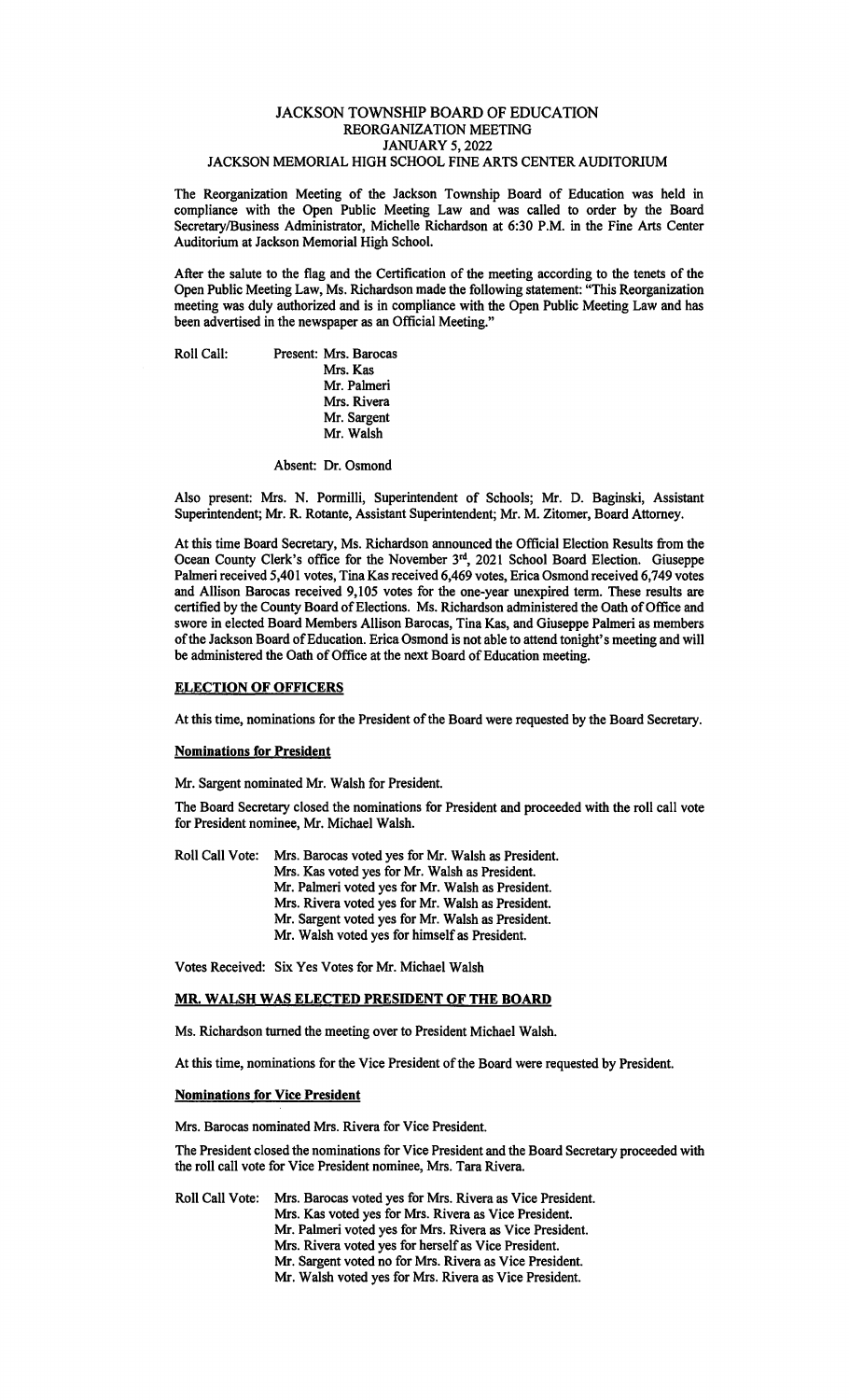## JACKSON TOWNSHIP BOARD OF EDUCATION REORGANIZATION MEETING JANUARY 5, 2022 JACKSON MEMORIAL HIGH SCHOOL FINE ARTS CENTER AUDITORIUM

The Reorganization Meeting of the Jackson Township Board of Education was held in compliance with the Open Public Meeting Law and was called to order by the Board Secretary/Business Administrator, Michelle Richardson at 6:30 P.M. in the Fine Arts Center Auditorium at Jackson Memorial High School.

After the salute to the flag and the Certification of the meeting according to the tenets of the Open Public Meeting Law, Ms. Richardson made the following statement: "This Reorganization meeting was duly authorized and is in compliance with the Open Public Meeting Law and has been advertised in the newspaper as an Official Meeting."

Roll Call: Present: Mrs. Barocas Mrs. Kas Mr. Palmeri Mrs. Rivera Mr. Sargent Mr. Walsh

Absent: Dr. Osmond

Also present: Mrs. N. Ponnilli, Superintendent of Schools; Mr. D. Baginski, Assistant Superintendent; Mr. R. Rotante, Assistant Superintendent; Mr. M. Zitomer, Board Attorney.

At this time Board Secretary, Ms. Richardson announced the Official Election Results from the Ocean County Clerk's office for the November 3<sup>rd</sup>, 2021 School Board Election. Giuseppe Palmeri received 5,401 votes, Tina Kas received 6,469 votes, Erica Osmond received 6,749 votes and Allison Barocas received 9,105 votes for the one-year unexpired term. These results are certified by the County Board of Elections. Ms. Richardson administered the Oath of Office and swore in elected Board Members Allison Barocas, Tina Kas, and Giuseppe Palmeri as members of the Jackson Board of Education. Erica Osmond is not able to attend tonight's meeting and will be administered the Oath of Office at the next Board of Education meeting.

## **ELECTION OF OFFICERS**

At this time, nominations for the President of the Board were requested by the Board Secretary.

### **Nominations for President**

Mr. Sargent nominated Mr. Walsh for President.

The Board Secretary closed the nominations for President and proceeded with the roll call vote for President nominee, Mr. Michael Walsh.

Roll Call Vote: Mrs. Barocas voted yes for Mr. Walsh as President. Mrs. Kas voted yes for Mr. Walsh as President. Mr. Palmeri voted yes for Mr. Walsh as President. Mrs. Rivera voted yes for Mr. Walsh as President. Mr. Sargent voted yes for Mr. Walsh as President. Mr. Walsh voted yes for himself as President.

Votes Received: Six Yes Votes for Mr. Michael Walsh

# **MR. WALSH WAS ELECTED PRESIDENT OF THE BOARD**

Ms. Richardson turned the meeting over to President Michael Walsh.

At this time, nominations for the Vice President of the Board were requested by President.

### **Nominations for Vice President**

Mrs. Barocas nominated Mrs. Rivera for Vice President.

The President closed the nominations for Vice President and the Board Secretary proceeded with the roll call vote for Vice President nominee, Mrs. Tara Rivera.

Roll Call Vote: Mrs. Barocas voted yes for Mrs. Rivera as Vice President. Mrs. Kas voted yes for Mrs. Rivera as Vice President. Mr. Palmeri voted yes for Mrs. Rivera as Vice President. Mrs. Rivera voted yes for herself as Vice President. Mr. Sargent voted no for Mrs. Rivera as Vice President. Mr. Walsh voted yes for Mrs. Rivera as Vice President.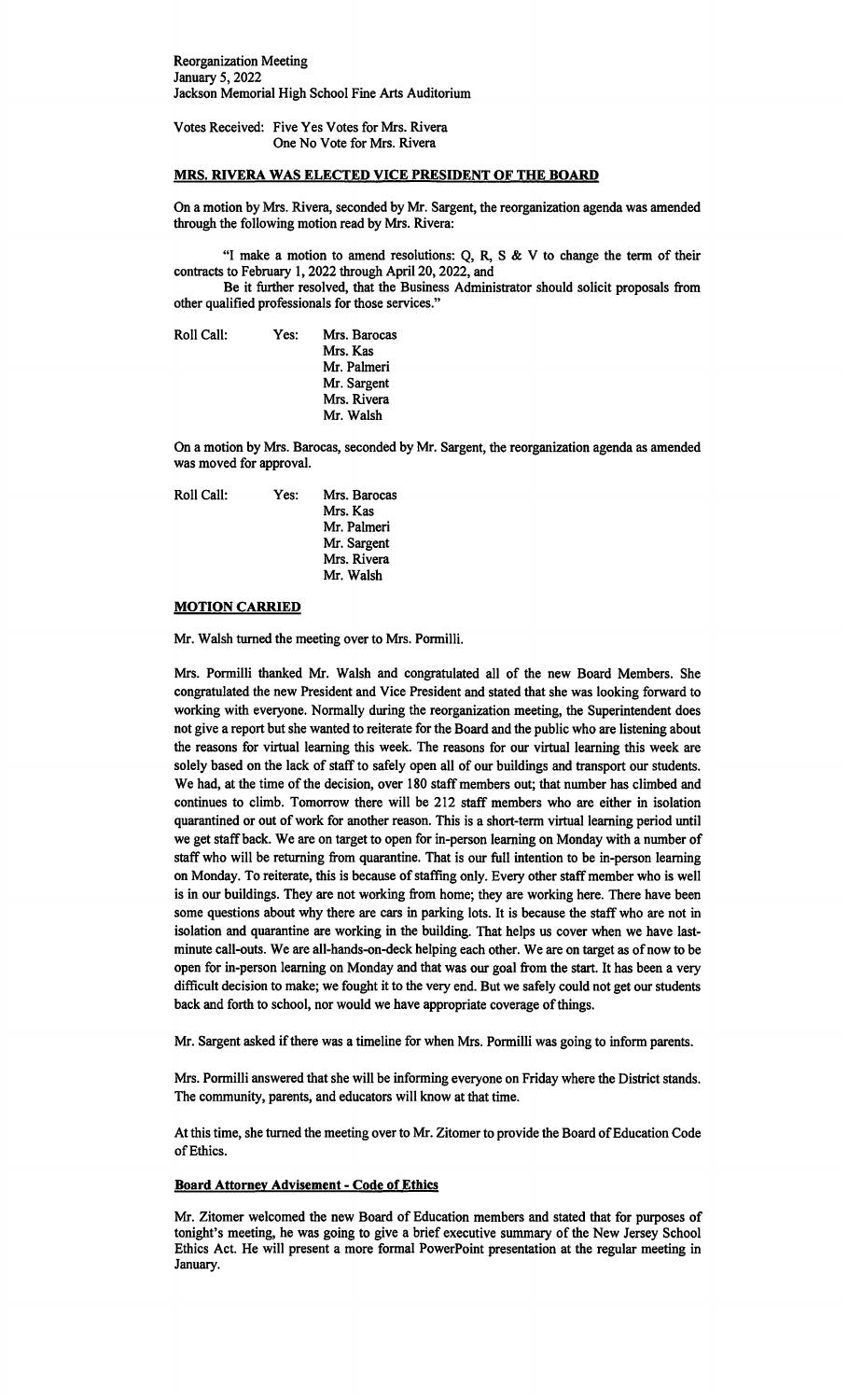Reorganization Meeting January 5, 2022 Jackson Memorial High School Fine Arts Auditorium

Votes Received: Five Yes Votes for Mrs. Rivera One No Vote for Mrs. Rivera

## **MRS. RIVERA WAS ELECTED VICE PRESIDENT OF THE BOARD**

On a motion by Mrs. Rivera, seconded by Mr. Sargent, the reorganization agenda was amended through the following motion read by Mrs. Rivera:

"I make a motion to amend resolutions:  $Q$ ,  $R$ ,  $S$  &  $V$  to change the term of their contracts to February 1, 2022 through April 20, 2022, and

Be it further resolved, that the Business Administrator should solicit proposals from other qualified professionals for those services."

Roll Call: Yes: Mrs. Barocas Mrs. Kas Mr. Palmeri Mr. Sargent Mrs. Rivera Mr. Walsh

On a motion by Mrs. Barocas, seconded by Mr. Sargent, the reorganization agenda as amended was moved for approval.

Roll Call: Yes: Mrs. Barocas Mrs. Kas Mr. Palmeri Mr. Sargent Mrs. Rivera Mr. Walsh

## **MOTION CARRIED**

Mr. Walsh turned the meeting over to Mrs. Pormilli.

Mrs. Pormilli thanked Mr. Walsh and congratulated all of the new Board Members. She congratulated the new President and Vice President and stated that she was looking forward to working with everyone. Normally during the reorganization meeting, the Superintendent does not give a report but she wanted to reiterate for the Board and the public who are listening about the reasons for virtual learning this week. The reasons for our virtual learning this week are solely based on the lack of staff to safely open all of our buildings and transport our students. We had, at the time of the decision, over 180 staff members out; that number has climbed and continues to climb. Tomorrow there will be 212 staff members who are either in isolation quarantined or out of work for another reason. This is a short-term virtual learning period until we get staff back. We are on target to open for in-person learning on Monday with a number of staff who will be returning from quarantine. That is our full intention to be in-person learning on Monday. To reiterate, this is because of staffing only. Every other staff member who is well is in our buildings. They are not working from home; they are working here. There have been some questions about why there are cars in parking lots. It is because the staff who are not in isolation and quarantine are working in the building. That helps us cover when we have lastminute call-outs. We are all-hands-on-deck helping each other. We are on target as ofnow to be open for in-person learning on Monday and that was our goal from the start. It has been a very difficult decision to make; we fought it to the very end. But we safely could not get our students back and forth to school, nor would we have appropriate coverage of things.

Mr. Sargent asked if there was a timeline for when Mrs. Pormilli was going to inform parents.

Mrs. Pormilli answered that she will be informing everyone on Friday where the District stands. The community, parents, and educators will know at that time.

At this time, she turned the meeting over to Mr. Zitomer to provide the Board of Education Code of Ethics.

### **Board Attorney Advisement** - **Code of Ethics**

Mr. Zitomer welcomed the new Board of Education members and stated that for purposes of tonight's meeting, he was going to give a brief executive summary of the New Jersey School Ethics Act. He will present a more formal PowerPoint presentation at the regular meeting in January.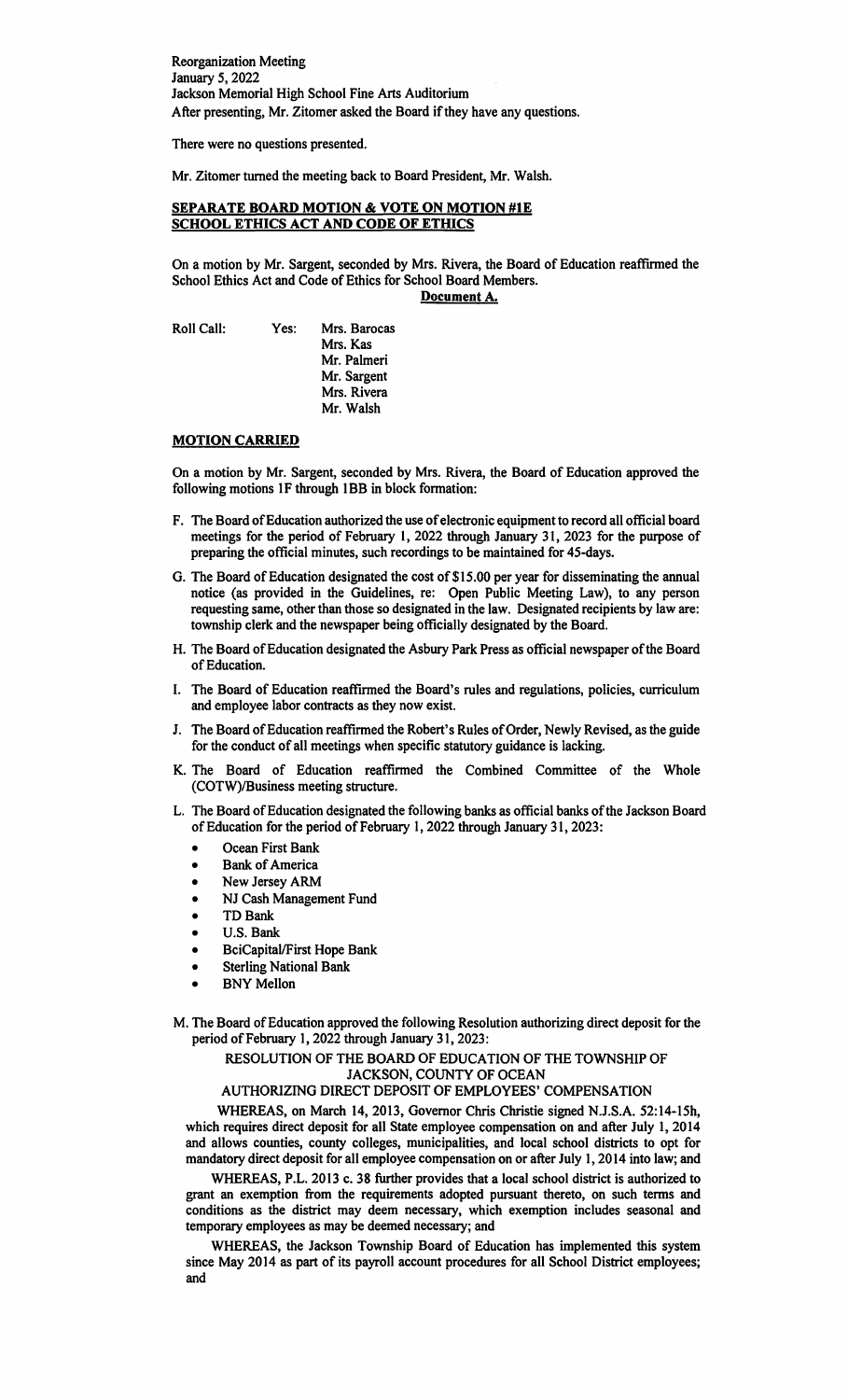Reorganization Meeting January 5, 2022 Jackson Memorial High School Fine Arts Auditorium After presenting, Mr. Zitomer asked the Board if they have any questions.

There were no questions presented.

Mr. Zitomer turned the meeting back to Board President, Mr. Walsh.

# **SEPARATE BOARD MOTION & VOTE ON MOTION #1E SCHOOL ETHICS ACT AND CODE OF ETHICS**

On a motion by Mr. Sargent, seconded by Mrs. Rivera, the Board of Education reaffirmed the School Ethics Act and Code of Ethics for School Board Members.

**Document A.** 

Roll Call: Yes: Mrs. Barocas

Mrs. Kas Mr. Palmeri Mr. Sargent Mrs. Rivera Mr. Walsh

# **MOTION CARRIED**

On a motion by Mr. Sargent, seconded by Mrs. Rivera, the Board of Education approved the following motions 1F through 1BB in block formation:

- F. The Board of Education authorized the use of electronic equipment to record all official board meetings for the period of February 1, 2022 through January 31, 2023 for the purpose of preparing the official minutes, such recordings to be maintained for 45-days.
- G. The Board of Education designated the cost of \$15.00 per year for disseminating the annual notice (as provided in the Guidelines, re: Open Public Meeting Law), to any person requesting same, other than those so designated in the law. Designated recipients by law are: township clerk and the newspaper being officially designated by the Board.
- H. The Board of Education designated the Asbury Park Press as official newspaper of the Board of Education.
- I. The Board of Education reaffrrmed the Board's rules and regulations, policies, curriculum and employee labor contracts as they now exist.
- J. The Board of Education reaffirmed the Robert's Rules of Order, Newly Revised, as the guide for the conduct of all meetings when specific statutory guidance is lacking.
- K. The Board of Education reaffrrmed the Combined Committee of the Whole (COTW)/Business meeting structure.
- L. The Board of Education designated the following banks as official banks of the Jackson Board of Education for the period of February 1, 2022 through January 31, 2023:
	- Ocean First Bank
	- **Bank of America**
	- New Jersey ARM
	- NJ Cash Management Fund
	- TD Bank<br>• U.S. Bank
	- U.S. Bank<br>• BeiCapital
	- BciCapitaVFirst Hope Bank
	- **Sterling National Bank**
	- **BNY Mellon**
- M. The Board of Education approved the following Resolution authorizing direct deposit for the period of February 1, 2022 through January 31, 2023:

## RESOLUTION OF THE BOARD OF EDUCATION OF THE TOWNSHIP OF JACKSON, COUNTY OF OCEAN

# AUTHORIZING DIRECT DEPOSIT OF EMPLOYEES' COMPENSATION

WHEREAS, on March 14, 2013, Governor Chris Christie signed N.J.S.A. 52:14-lSh, which requires direct deposit for all State employee compensation on and after July 1, 2014 and allows counties, county colleges, municipalities, and local school districts to opt for mandatory direct deposit for all employee compensation on or after July 1, 2014 into law; and

WHEREAS, P.L. 2013 c. 38 further provides that a local school district is authorized to grant an exemption from the requirements adopted pursuant thereto, on such terms and conditions as the district may deem necessary, which exemption includes seasonal and temporary employees as may be deemed necessary; and

WHEREAS, the Jackson Township Board of Education has implemented this system since May 2014 as part of its payroll account procedures for all School District employees; and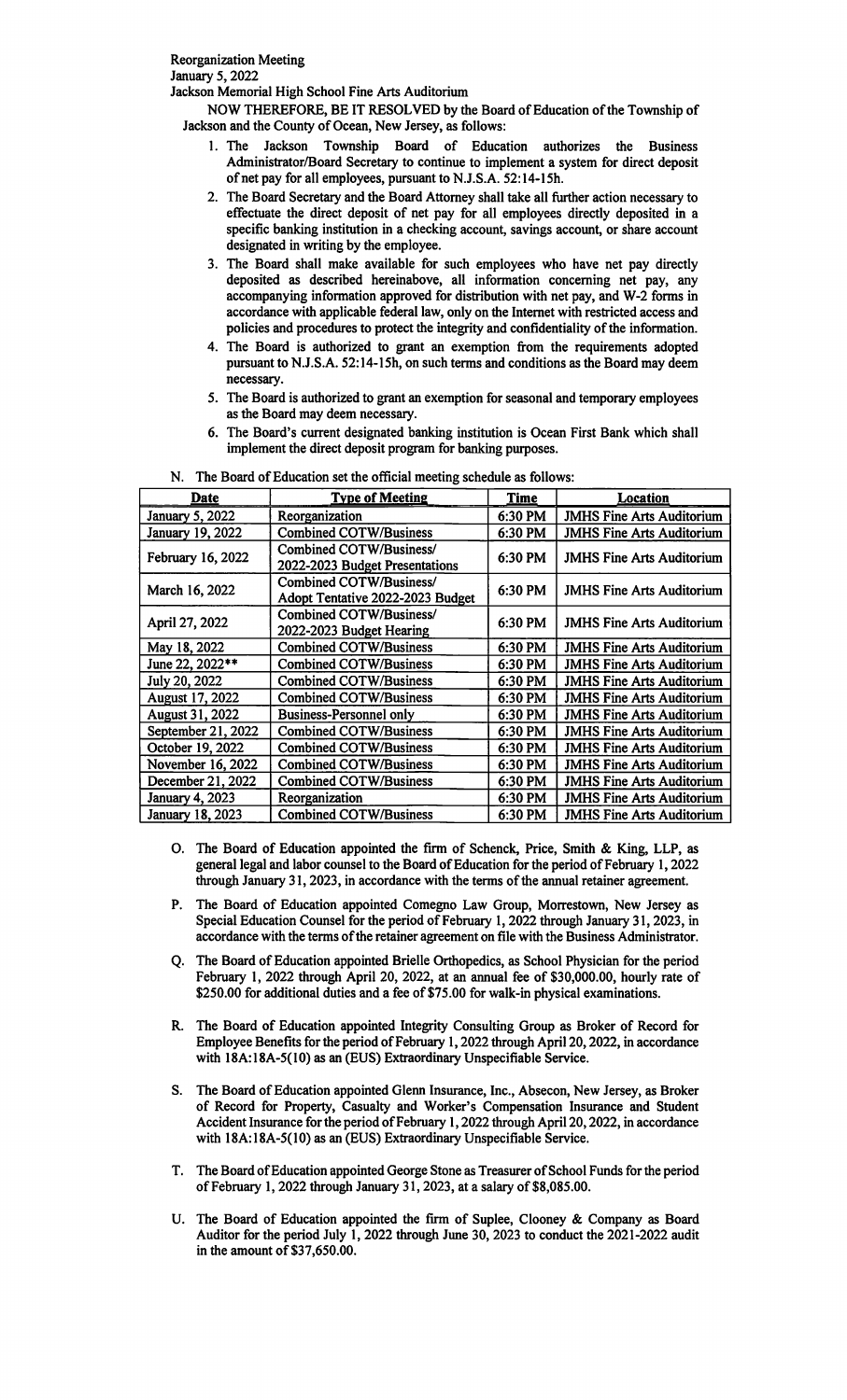January 5, 2022

Jackson Memorial High School Fine Arts Auditorium

NOW THEREFORE, BE IT RESOLVED by the Board of Education of the Township of Jackson and the County of Ocean, New Jersey, as follows:

- 1. The Jackson Township Board of Education authorizes the Business Administrator/Board Secretary to continue to implement a system for direct deposit of net pay for all employees, pursuant to N.J.S.A. 52:14-15h.
- 2. The Board Secretary and the Board Attorney shall take all further action necessary to effectuate the direct deposit of net pay for all employees directly deposited in a specific banking institution in a checking account, savings account, or share account designated in writing by the employee.
- 3. The Board shall make available for such employees who have net pay directly deposited as described hereinabove, all information concerning net pay, any accompanying information approved for distribution with net pay, and W-2 forms in accordance with applicable federal law, only on the Internet with restricted access and policies and procedures to protect the integrity and confidentiality of the information.
- 4. The Board is authorized to grant an exemption from the requirements adopted pursuant to N.J.S.A. 52:14-ISh, on such terms and conditions as the Board may deem necessary.
- 5. The Board is authorized to grant an exemption for seasonal and temporary employees as the Board may deem necessary.
- 6. The Board's current designated banking institution is Ocean First Bank which shall implement the direct deposit program for banking purposes.

| Date                   | <b>Type of Meeting</b>                                      | <b>Time</b> | Location                         |
|------------------------|-------------------------------------------------------------|-------------|----------------------------------|
| <b>January 5, 2022</b> | Reorganization                                              | 6:30 PM     | <b>JMHS Fine Arts Auditorium</b> |
| January 19, 2022       | <b>Combined COTW/Business</b>                               | 6:30 PM     | <b>JMHS Fine Arts Auditorium</b> |
| February 16, 2022      | Combined COTW/Business/<br>2022-2023 Budget Presentations   | 6:30 PM     | <b>JMHS Fine Arts Auditorium</b> |
| March 16, 2022         | Combined COTW/Business/<br>Adopt Tentative 2022-2023 Budget | 6:30 PM     | <b>JMHS Fine Arts Auditorium</b> |
| April 27, 2022         | Combined COTW/Business/<br>2022-2023 Budget Hearing         | 6:30 PM     | <b>JMHS Fine Arts Auditorium</b> |
| May 18, 2022           | <b>Combined COTW/Business</b>                               | 6:30 PM     | <b>JMHS Fine Arts Auditorium</b> |
| June 22, 2022**        | <b>Combined COTW/Business</b>                               | 6:30 PM     | <b>JMHS Fine Arts Auditorium</b> |
| July 20, 2022          | <b>Combined COTW/Business</b>                               | 6:30 PM     | <b>JMHS Fine Arts Auditorium</b> |
| <b>August 17, 2022</b> | <b>Combined COTW/Business</b>                               | 6:30 PM     | <b>JMHS Fine Arts Auditorium</b> |
| August 31, 2022        | <b>Business-Personnel only</b>                              | 6:30 PM     | <b>JMHS Fine Arts Auditorium</b> |
| September 21, 2022     | <b>Combined COTW/Business</b>                               | 6:30 PM     | <b>JMHS Fine Arts Auditorium</b> |
| October 19, 2022       | <b>Combined COTW/Business</b>                               | 6:30 PM     | <b>JMHS Fine Arts Auditorium</b> |
| November 16, 2022      | <b>Combined COTW/Business</b>                               | 6:30 PM     | <b>JMHS Fine Arts Auditorium</b> |
| December 21, 2022      | <b>Combined COTW/Business</b>                               | 6:30 PM     | <b>JMHS Fine Arts Auditorium</b> |
| <b>January 4, 2023</b> | Reorganization                                              | 6:30 PM     | <b>JMHS Fine Arts Auditorium</b> |
| January 18, 2023       | <b>Combined COTW/Business</b>                               | 6:30 PM     | <b>JMHS Fine Arts Auditorium</b> |

N. The Board of Education set the official meeting schedule as follows:

- 0. The Board of Education appointed the firm of Schenck, Price, Smith & King, LLP, as general legal and labor counsel to the Board of Education for the period of February 1, 2022 through January 31, 2023, in accordance with the terms of the annual retainer agreement.
- P. The Board of Education appointed Comegno Law Group, Morrestown, New Jersey as Special Education Counsel for the period of February 1, 2022 through January 31, 2023, in accordance with the terms of the retainer agreement on file with the Business Administrator.
- Q. The Board of Education appointed Brielle Orthopedics, as School Physician for the period February 1, 2022 through April 20, 2022, at an annual fee of \$30,000.00, hourly rate of \$250.00 for additional duties and a fee of \$75.00 for walk-in physical examinations.
- R. The Board of Education appointed Integrity Consulting Group as Broker of Record for Employee Benefits for the period of February 1, 2022 through April 20, 2022, in accordance with 18A:18A-5(10) as an (EUS) Extraordinary Unspecifiable Service.
- S. The Board of Education appointed Glenn Insurance, Inc., Absecon, New Jersey, as Broker of Record for Property, Casualty and Worker's Compensation Insurance and Student Accident Insurance for the period of February 1, 2022 through April 20, 2022, in accordance with 18A: 18A-5(10) as an (EUS) Extraordinary Unspecifiable Service.
- T. The Board of Education appointed George Stone as Treasurer of School Funds for the period of February 1, 2022 through January 31, 2023, at a salary of \$8,085.00.
- U. The Board of Education appointed the firm of Suplee, Clooney & Company as Board Auditor for the period July I, 2022 through June 30, 2023 to conduct the 2021-2022 audit in the amount of  $$37,650.00$ .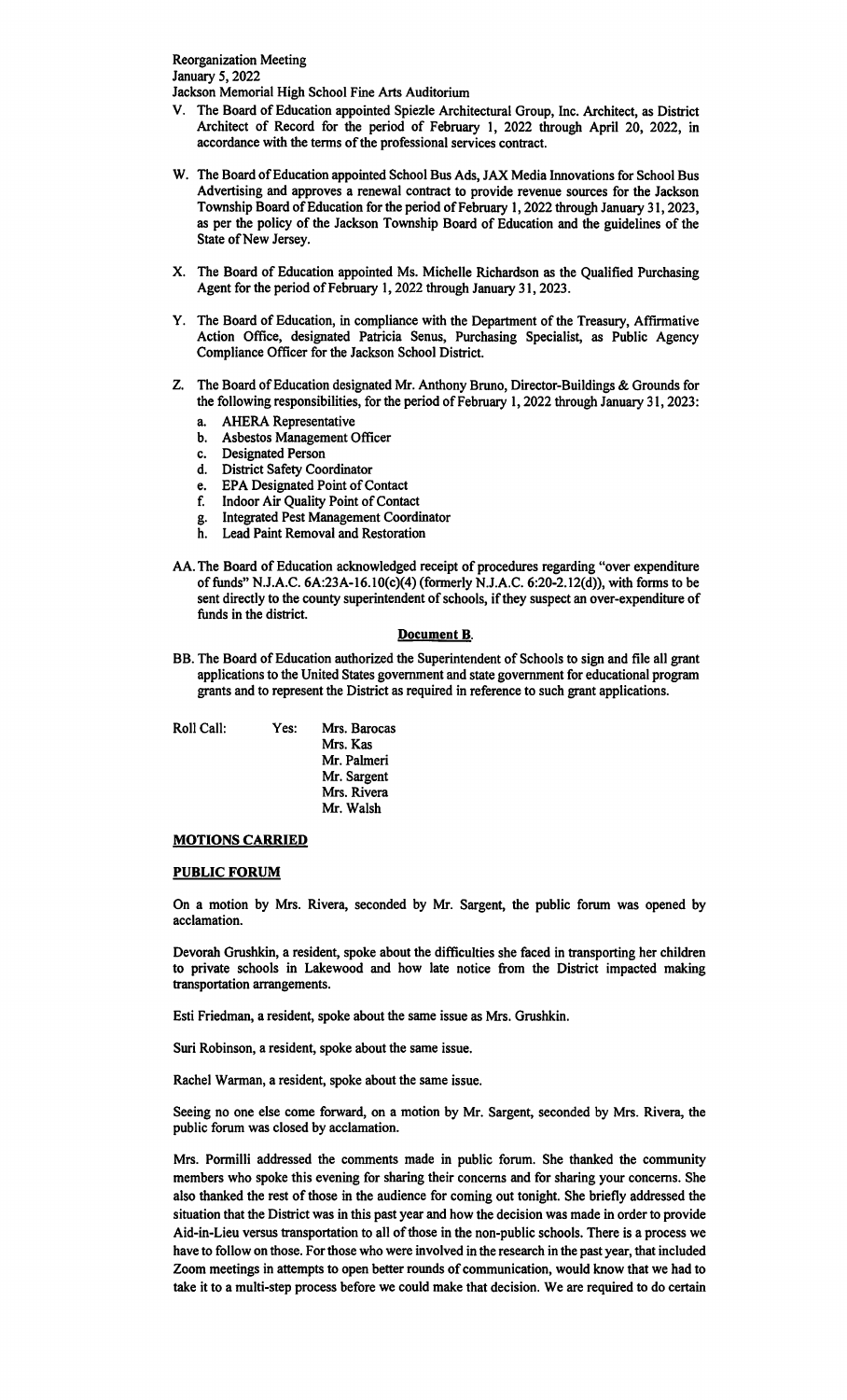Reorganization Meeting January 5, 2022

Jackson Memorial High School Fine Arts Auditorium

- V. The Board of Education appointed Spiezle Architectural Group, Inc. Architect, as District Architect of Record for the period of February I, 2022 through April 20, 2022, in accordance with the terms of the professional services contract.
- W. The Board of Education appointed School Bus Ads, JAX Media Innovations for School Bus Advertising and approves a renewal contract to provide revenue sources for the Jackson Township Board of Education for the period of February 1, 2022 through January 31, 2023, as per the policy of the Jackson Township Board of Education and the guidelines of the State of New Jersey.
- X. The Board of Education appointed Ms. Michelle Richardson as the Qualified Purchasing Agent for the period of February 1, 2022 through January 31, 2023.
- Y. The Board of Education, in compliance with the Department of the Treasury, Affirmative Action Office, designated Patricia Senus, Purchasing Specialist, as Public Agency Compliance Officer for the Jackson School District.
- Z. The Board of Education designated Mr. Anthony Bruno, Director-Buildings & Grounds for the following responsibilities, for the period of February 1, 2022 through January 31, 2023:
	- a. AHERA Representative
	- b. Asbestos Management Officer
	- c. Designated Person
	- d. District Safety Coordinator
	- e. EPA Designated Point of Contact
	- f. Indoor Air Quality Point of Contact
	- g. Integrated Pest Management Coordinator
	- h. Lead Paint Removal and Restoration
- AA. The Board of Education acknowledged receipt of procedures regarding "over expenditure of funds" N.J.A.C. 6A:23A-16.10(c)(4) (formerly N.J.A.C. 6:20-2.12(d)), with forms to be sent directly to the county superintendent of schools, if they suspect an over-expenditure of funds in the district.

### **Document 8.**

BB. The Board of Education authorized the Superintendent of Schools to sign and file all grant applications to the United States government and state government for educational program grants and to represent the District as required in reference to such grant applications.

Roll Call: Yes:

Mrs. Barocas Mrs. Kas Mr. Palmeri Mr. Sargent Mrs. Rivera Mr. Walsh

### **MOTIONS CARRIED**

### **PUBLIC FORUM**

On a motion by Mrs. Rivera, seconded by Mr. Sargent, the public forum was opened by acclamation.

Devorah Grushkin, a resident, spoke about the difficulties she faced in transporting her children to private schools in Lakewood and how late notice from the District impacted making transportation arrangements.

Esti Friedman, a resident, spoke about the same issue as Mrs. Grushkin.

Suri Robinson, a resident, spoke about the same issue.

Rachel Warman, a resident, spoke about the same issue.

Seeing no one else come forward, on a motion by Mr. Sargent, seconded by Mrs. Rivera, the public forum was closed by acclamation.

Mrs. Pormilli addressed the comments made in public forum. She thanked the community members who spoke this evening for sharing their concerns and for sharing your concerns. She also thanked the rest of those in the audience for coming out tonight. She briefly addressed the situation that the District was in this past year and how the decision was made in order to provide Aid-in-Lieu versus transportation to all of those in the non-public schools. There is a process we have to follow on those. For those who were involved in the research in the past year, that included Zoom meetings in attempts to open better rounds of communication, would know that we had to take it to a multi-step process before we could make that decision. We are required to do certain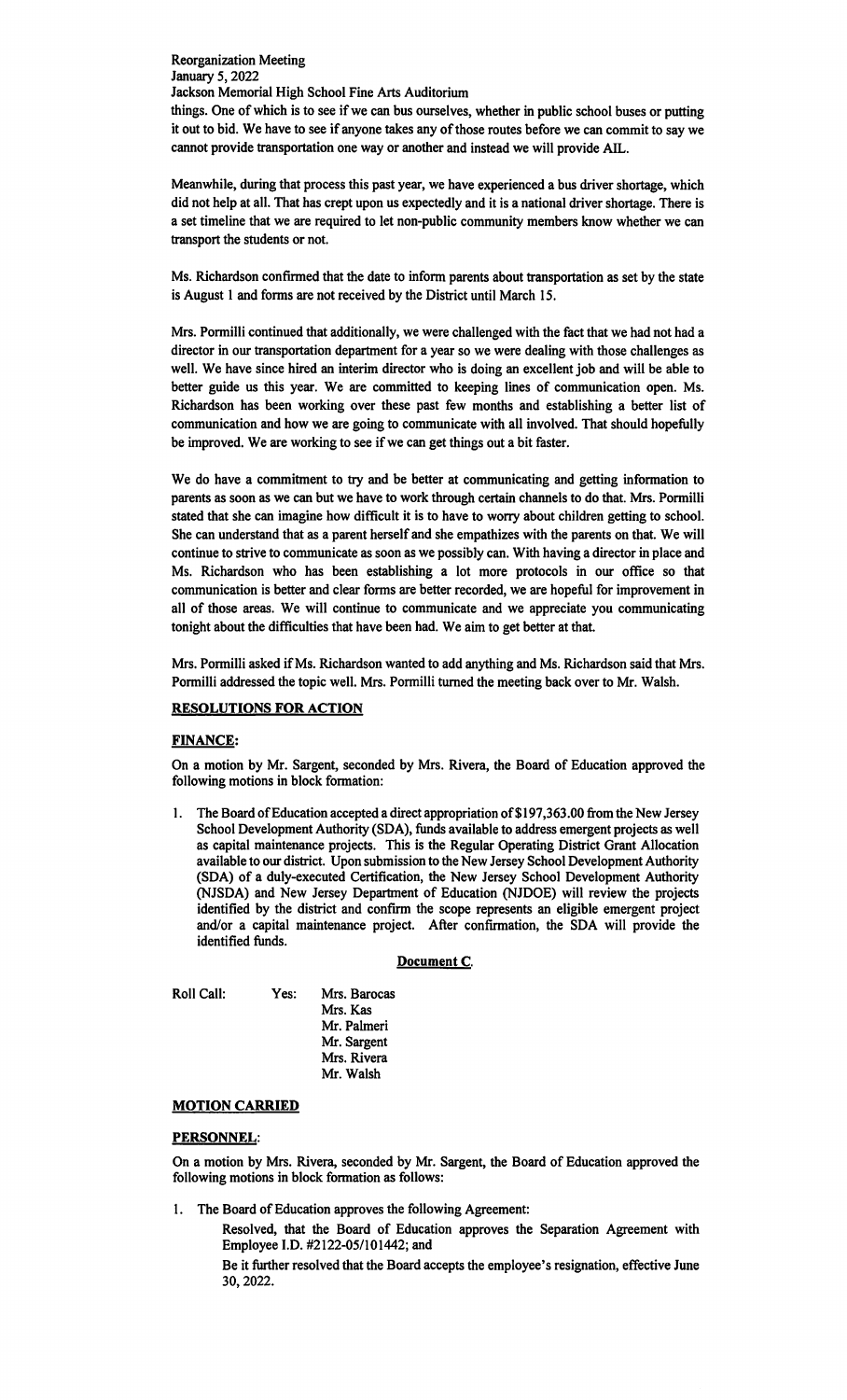Reorganization Meeting January 5, 2022 Jackson Memorial High School Fine Arts Auditorium things. One of which is to see if we can bus ourselves, whether in public school buses or putting it out to bid. We have to see if anyone takes any of those routes before we can commit to say we cannot provide transportation one way or another and instead we will provide AIL.

Meanwhile, during that process this past year, we have experienced a bus driver shortage, which did not help at all. That has crept upon us expectedly and it is a national driver shortage. There is a set timeline that we are required to let non-public community members know whether we can transport the students or not.

Ms. Richardson confirmed that the date to inform parents about transportation as set by the state is August 1 and forms are not received by the District until March 15.

Mrs. Pormilli continued that additionally, we were challenged with the fact that we had not had a director in our transportation department for a year so we were dealing with those challenges as well. We have since hired an interim director who is doing an excellent job and will be able to better guide us this year. We are committed to keeping lines of communication open. Ms. Richardson has been working over these past few months and establishing a better list of communication and how we are going to communicate with all involved. That should hopefully be improved. We are working to see if we can get things out a bit faster.

We do have a commitment to try and be better at communicating and getting information to parents as soon as we can but we have to work through certain channels to do that. Mrs. Pormilli stated that she can imagine how difficult it is to have to worry about children getting to school. She can understand that as a parent herself and she empathizes with the parents on that. We will continue to strive to communicate as soon as we possibly can. With having a director in place and Ms. Richardson who has been establishing a lot more protocols in our office so that communication is better and clear forms are better recorded, we are hopeful for improvement in all of those areas. We will continue to communicate and we appreciate you communicating tonight about the difficulties that have been had. We aim to get better at that.

Mrs. Pormilli asked if Ms. Richardson wanted to add anything and Ms. Richardson said that Mrs. Pormilli addressed the topic well. Mrs. Pormilli turned the meeting back over to Mr. Walsh.

## **RESOLUTIONS FOR ACTION**

### **FINANCE:**

On a motion by Mr. Sargent, seconded by Mrs. Rivera, the Board of Education approved the following motions in block formation:

1. The Board of Education accepted a direct appropriation of \$197,363.00 from the New Jersey School Development Authority (SDA), funds available to address emergent projects as well as capital maintenance projects. This is the Regular Operating District Grant Allocation available to our district. Upon submission to the New Jersey School Development Authority (SDA) of a duly-executed Certification, the New Jersey School Development Authority (NJSDA) and New Jersey Department of Education (NJDOE) will review the projects identified by the district and confirm the scope represents an eligible emergent project and/or a capital maintenance project. After confirmation, the SDA will provide the identified funds.

### Document C.

Roll Call: Yes:

Mrs. Barocas Mrs. Kas Mr. Palmeri Mr. Sargent Mrs. Rivera Mr. Walsh

## **MOTION CARRIED**

## **PERSONNEL:**

On a motion by Mrs. Rivera, seconded by Mr. Sargent, the Board of Education approved the following motions in block formation as follows:

1. The Board of Education approves the following Agreement:

Resolved, that the Board of Education approves the Separation Agreement with Employee I.D. #2122-05/101442; and

Be it further resolved that the Board accepts the employee's resignation, effective June 30, 2022.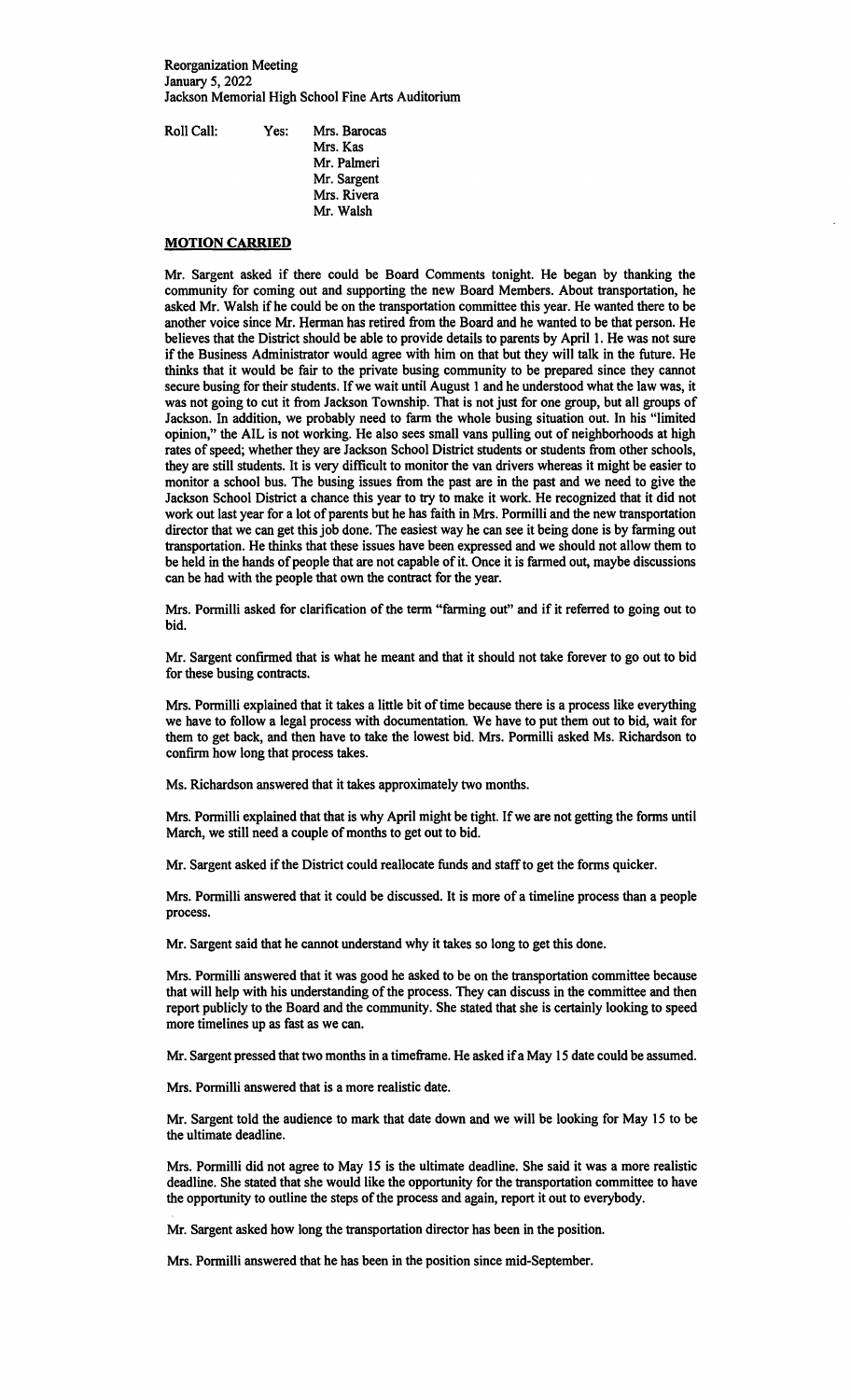Reorganization Meeting January 5, 2022 Jackson Memorial High School Fine Arts Auditorium

| Roll Call: | Yes: | Mrs. Barocas |
|------------|------|--------------|
|            |      | Mrs. Kas     |
|            |      | Mr. Palmeri  |
|            |      | Mr. Sargent  |
|            |      | Mrs. Rivera  |
|            |      | Mr. Walsh    |

## **MOTION CARRIED**

Mr. Sargent asked if there could be Board Comments tonight. He began by thanking the community for coming out and supporting the new Board Members. About transportation, he asked Mr. Walsh if he could be on the transportation committee this year. He wanted there to be another voice since Mr. Herman has retired from the Board and he wanted to be that person. He believes that the District should be able to provide details to parents by April 1. He was not sure if the Business Administrator would agree with him on that but they will talk in the future. He thinks that it would be fair to the private busing community to be prepared since they cannot secure busing for their students. If we wait until August 1 and he understood what the law was, it was not going to cut it from Jackson Township. That is not just for one group, but all groups of Jackson. In addition, we probably need to farm the whole busing situation out. In his "limited opinion," the AIL is not working. He also sees small vans pulling out of neighborhoods at high rates of speed; whether they are Jackson School District students or students from other schools, they are still students. It is very difficult to monitor the van drivers whereas it might be easier to monitor a school bus. The busing issues from the past are in the past and we need to give the Jackson School District a chance this year to try to make it work. He recognized that it did not work out last year for a lot of parents but he has faith in Mrs. Pormilli and the new transportation director that we can get this job done. The easiest way he can see it being done is by farming out transportation. He thinks that these issues have been expressed and we should not allow them to be held in the hands of people that are not capable of it. Once it is farmed out, maybe discussions can be had with the people that own the contract for the year.

Mrs. Pormilli asked for clarification of the term "farming out" and if it referred to going out to bid.

Mr. Sargent confirmed that is what he meant and that it should not take forever to go out to bid for these busing contracts.

Mrs. Pormilli explained that it takes a little bit of time because there is a process like everything we have to follow a legal process with documentation. We have to put them out to bid, wait for them to get back, and then have to take the lowest bid. Mrs. Pormilli asked Ms. Richardson to confirm how long that process takes.

Ms. Richardson answered that it takes approximately two months.

Mrs. Pormilli explained that that is why April might be tight. If we are not getting the forms until March, we still need a couple of months to get out to bid.

Mr. Sargent asked if the District could reallocate funds and staff to get the forms quicker.

Mrs. Pormilli answered that it could be discussed. It is more of a timeline process than a people process.

Mr. Sargent said that he cannot understand why it takes so long to get this done.

Mrs. Pormilli answered that it was good he asked to be on the transportation committee because that will help with his understanding of the process. They can discuss in the committee and then report publicly to the Board and the community. She stated that she is certainly looking to speed more timelines up as fast as we can.

Mr. Sargent pressed that two months in a timeframe. He asked if a May 15 date could be assumed.

Mrs. Pormilli answered that is a more realistic date.

Mr. Sargent told the audience to mark that date down and we will be looking for May 15 to be the ultimate deadline.

Mrs. Pormilli did not agree to May 15 is the ultimate deadline. She said it was a more realistic deadline. She stated that she would like the opportunity for the transportation committee to have the opportunity to outline the steps of the process and again, report it out to everybody.

Mr. Sargent asked how long the transportation director has been in the position.

Mrs. Pormilli answered that he has been in the position since mid-September.